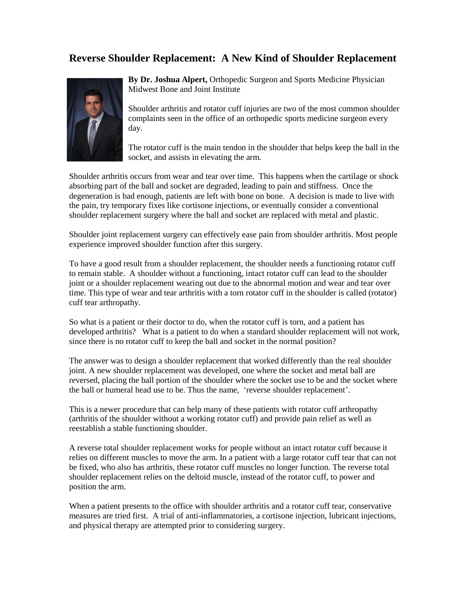## **Reverse Shoulder Replacement: A New Kind of Shoulder Replacement**



**By Dr. Joshua Alpert,** Orthopedic Surgeon and Sports Medicine Physician Midwest Bone and Joint Institute

Shoulder arthritis and rotator cuff injuries are two of the most common shoulder complaints seen in the office of an orthopedic sports medicine surgeon every day.

The rotator cuff is the main tendon in the shoulder that helps keep the ball in the socket, and assists in elevating the arm.

Shoulder arthritis occurs from wear and tear over time. This happens when the cartilage or shock absorbing part of the ball and socket are degraded, leading to pain and stiffness. Once the degeneration is bad enough, patients are left with bone on bone. A decision is made to live with the pain, try temporary fixes like cortisone injections, or eventually consider a conventional shoulder replacement surgery where the ball and socket are replaced with metal and plastic.

Shoulder joint replacement surgery can effectively ease pain from shoulder arthritis. Most people experience improved shoulder function after this surgery.

To have a good result from a shoulder replacement, the shoulder needs a functioning rotator cuff to remain stable. A shoulder without a functioning, intact rotator cuff can lead to the shoulder joint or a shoulder replacement wearing out due to the abnormal motion and wear and tear over time. This type of wear and tear arthritis with a torn rotator cuff in the shoulder is called (rotator) cuff tear arthropathy.

So what is a patient or their doctor to do, when the rotator cuff is torn, and a patient has developed arthritis? What is a patient to do when a standard shoulder replacement will not work, since there is no rotator cuff to keep the ball and socket in the normal position?

The answer was to design a shoulder replacement that worked differently than the real shoulder joint. A new shoulder replacement was developed, one where the socket and metal ball are reversed, placing the ball portion of the shoulder where the socket use to be and the socket where the ball or humeral head use to be. Thus the name, 'reverse shoulder replacement'.

This is a newer procedure that can help many of these patients with rotator cuff arthropathy (arthritis of the shoulder without a working rotator cuff) and provide pain relief as well as reestablish a stable functioning shoulder.

A reverse total shoulder replacement works for people without an intact rotator cuff because it relies on different muscles to move the arm. In a patient with a large rotator cuff tear that can not be fixed, who also has arthritis, these rotator cuff muscles no longer function. The reverse total shoulder replacement relies on the deltoid muscle, instead of the rotator cuff, to power and position the arm.

When a patient presents to the office with shoulder arthritis and a rotator cuff tear, conservative measures are tried first. A trial of anti-inflammatories, a cortisone injection, lubricant injections, and physical therapy are attempted prior to considering surgery.